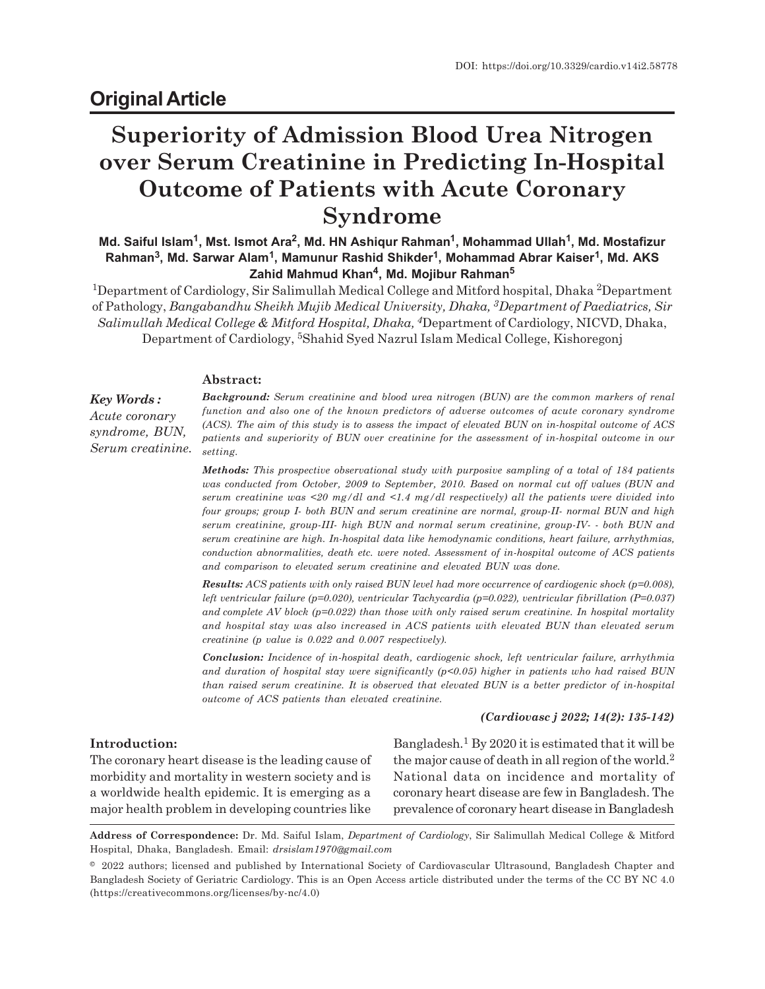# **Original Article**

# **Superiority of Admission Blood Urea Nitrogen over Serum Creatinine in Predicting In-Hospital Outcome of Patients with Acute Coronary Syndrome**

**Md. Saiful Islam<sup>1</sup> , Mst. Ismot Ara<sup>2</sup> , Md. HN Ashiqur Rahman<sup>1</sup> , Mohammad Ullah<sup>1</sup> , Md. Mostafizur Rahman<sup>3</sup> , Md. Sarwar Alam<sup>1</sup> , Mamunur Rashid Shikder<sup>1</sup> , Mohammad Abrar Kaiser<sup>1</sup> , Md. AKS Zahid Mahmud Khan<sup>4</sup> , Md. Mojibur Rahman<sup>5</sup>**

<sup>1</sup>Department of Cardiology, Sir Salimullah Medical College and Mitford hospital, Dhaka <sup>2</sup>Department of Pathology, *Bangabandhu Sheikh Mujib Medical University, Dhaka, 3Department of Paediatrics, Sir Salimullah Medical College & Mitford Hospital, Dhaka, 4*Department of Cardiology, NICVD, Dhaka, Department of Cardiology, 5Shahid Syed Nazrul Islam Medical College, Kishoregonj

#### **Abstract:**

*Key Words : Acute coronary syndrome, BUN, Serum creatinine.* *Background: Serum creatinine and blood urea nitrogen (BUN) are the common markers of renal function and also one of the known predictors of adverse outcomes of acute coronary syndrome (ACS). The aim of this study is to assess the impact of elevated BUN on in-hospital outcome of ACS patients and superiority of BUN over creatinine for the assessment of in-hospital outcome in our setting.*

*Methods: This prospective observational study with purposive sampling of a total of 184 patients was conducted from October, 2009 to September, 2010. Based on normal cut off values (BUN and serum creatinine was <20 mg/dl and <1.4 mg/dl respectively) all the patients were divided into four groups; group I- both BUN and serum creatinine are normal, group-II- normal BUN and high serum creatinine, group-III- high BUN and normal serum creatinine, group-IV- - both BUN and serum creatinine are high. In-hospital data like hemodynamic conditions, heart failure, arrhythmias, conduction abnormalities, death etc. were noted. Assessment of in-hospital outcome of ACS patients and comparison to elevated serum creatinine and elevated BUN was done.*

*Results: ACS patients with only raised BUN level had more occurrence of cardiogenic shock (p=0.008), left ventricular failure (p=0.020), ventricular Tachycardia (p=0.022), ventricular fibrillation (P=0.037) and complete AV block (p=0.022) than those with only raised serum creatinine. In hospital mortality and hospital stay was also increased in ACS patients with elevated BUN than elevated serum creatinine (p value is 0.022 and 0.007 respectively).*

*Conclusion: Incidence of in-hospital death, cardiogenic shock, left ventricular failure, arrhythmia and duration of hospital stay were significantly (p<0.05) higher in patients who had raised BUN than raised serum creatinine. It is observed that elevated BUN is a better predictor of in-hospital outcome of ACS patients than elevated creatinine.*

#### *(Cardiovasc j 2022; 14(2): 135-142)*

#### **Introduction:**

The coronary heart disease is the leading cause of morbidity and mortality in western society and is a worldwide health epidemic. It is emerging as a major health problem in developing countries like

Bangladesh.<sup>1</sup> By 2020 it is estimated that it will be the major cause of death in all region of the world.<sup>2</sup> National data on incidence and mortality of coronary heart disease are few in Bangladesh. The prevalence of coronary heart disease in Bangladesh

**Address of Correspondence:** Dr. Md. Saiful Islam, *Department of Cardiology*, Sir Salimullah Medical College & Mitford Hospital, Dhaka, Bangladesh. Email: *drsislam1970@gmail.com*

<sup>© 2022</sup> authors; licensed and published by International Society of Cardiovascular Ultrasound, Bangladesh Chapter and Bangladesh Society of Geriatric Cardiology. This is an Open Access article distributed under the terms of the CC BY NC 4.0 (https://creativecommons.org/licenses/by-nc/4.0)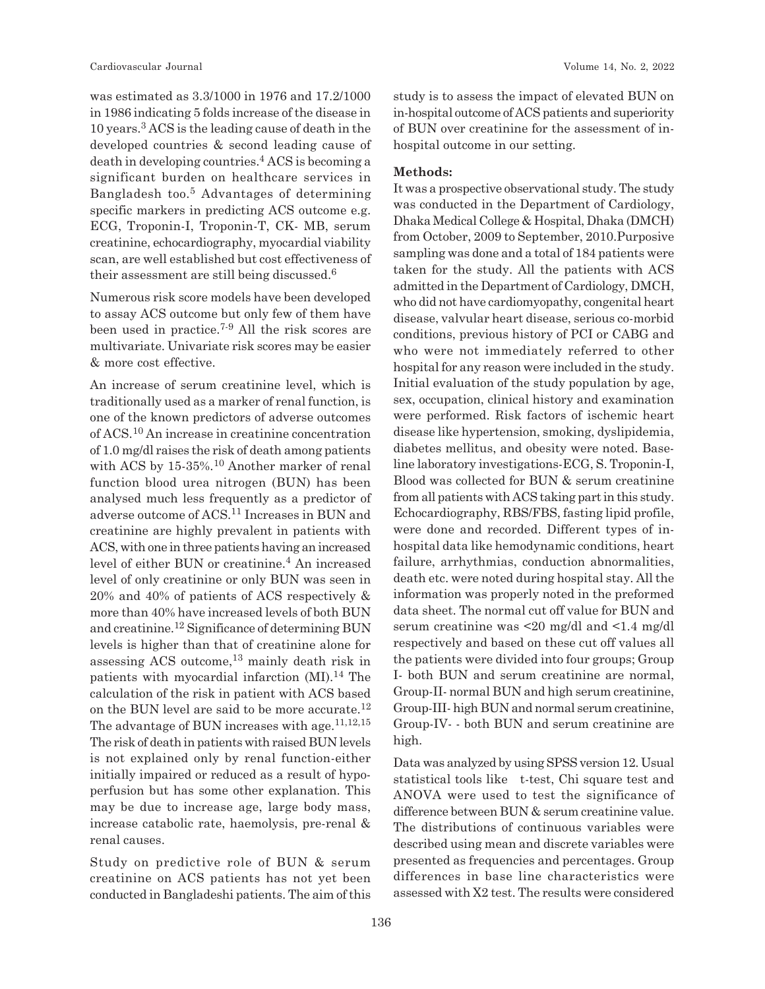was estimated as 3.3/1000 in 1976 and 17.2/1000 in 1986 indicating 5 folds increase of the disease in 10 years.<sup>3</sup> ACS is the leading cause of death in the developed countries & second leading cause of death in developing countries.<sup>4</sup> ACS is becoming a significant burden on healthcare services in Bangladesh too.<sup>5</sup> Advantages of determining specific markers in predicting ACS outcome e.g. ECG, Troponin-I, Troponin-T, CK- MB, serum creatinine, echocardiography, myocardial viability scan, are well established but cost effectiveness of their assessment are still being discussed.<sup>6</sup>

Numerous risk score models have been developed to assay ACS outcome but only few of them have been used in practice.7-9 All the risk scores are multivariate. Univariate risk scores may be easier & more cost effective.

An increase of serum creatinine level, which is traditionally used as a marker of renal function, is one of the known predictors of adverse outcomes of ACS.10 An increase in creatinine concentration of 1.0 mg/dl raises the risk of death among patients with ACS by 15-35%.<sup>10</sup> Another marker of renal function blood urea nitrogen (BUN) has been analysed much less frequently as a predictor of adverse outcome of ACS.11 Increases in BUN and creatinine are highly prevalent in patients with ACS, with one in three patients having an increased level of either BUN or creatinine.<sup>4</sup> An increased level of only creatinine or only BUN was seen in 20% and 40% of patients of ACS respectively & more than 40% have increased levels of both BUN and creatinine.12 Significance of determining BUN levels is higher than that of creatinine alone for assessing ACS outcome,13 mainly death risk in patients with myocardial infarction  $(MI)$ .<sup>14</sup> The calculation of the risk in patient with ACS based on the BUN level are said to be more accurate.<sup>12</sup> The advantage of BUN increases with age.<sup>11,12,15</sup> The risk of death in patients with raised BUN levels is not explained only by renal function-either initially impaired or reduced as a result of hypoperfusion but has some other explanation. This may be due to increase age, large body mass, increase catabolic rate, haemolysis, pre-renal & renal causes.

Study on predictive role of BUN & serum creatinine on ACS patients has not yet been conducted in Bangladeshi patients. The aim of this study is to assess the impact of elevated BUN on in-hospital outcome of ACS patients and superiority of BUN over creatinine for the assessment of inhospital outcome in our setting.

#### **Methods:**

It was a prospective observational study. The study was conducted in the Department of Cardiology, Dhaka Medical College & Hospital, Dhaka (DMCH) from October, 2009 to September, 2010.Purposive sampling was done and a total of 184 patients were taken for the study. All the patients with ACS admitted in the Department of Cardiology, DMCH, who did not have cardiomyopathy, congenital heart disease, valvular heart disease, serious co-morbid conditions, previous history of PCI or CABG and who were not immediately referred to other hospital for any reason were included in the study. Initial evaluation of the study population by age, sex, occupation, clinical history and examination were performed. Risk factors of ischemic heart disease like hypertension, smoking, dyslipidemia, diabetes mellitus, and obesity were noted. Baseline laboratory investigations-ECG, S. Troponin-I, Blood was collected for BUN & serum creatinine from all patients with ACS taking part in this study. Echocardiography, RBS/FBS, fasting lipid profile, were done and recorded. Different types of inhospital data like hemodynamic conditions, heart failure, arrhythmias, conduction abnormalities, death etc. were noted during hospital stay. All the information was properly noted in the preformed data sheet. The normal cut off value for BUN and serum creatinine was <20 mg/dl and <1.4 mg/dl respectively and based on these cut off values all the patients were divided into four groups; Group I- both BUN and serum creatinine are normal, Group-II- normal BUN and high serum creatinine, Group-III- high BUN and normal serum creatinine, Group-IV- - both BUN and serum creatinine are high.

Data was analyzed by using SPSS version 12. Usual statistical tools like t-test, Chi square test and ANOVA were used to test the significance of difference between BUN & serum creatinine value. The distributions of continuous variables were described using mean and discrete variables were presented as frequencies and percentages. Group differences in base line characteristics were assessed with X2 test. The results were considered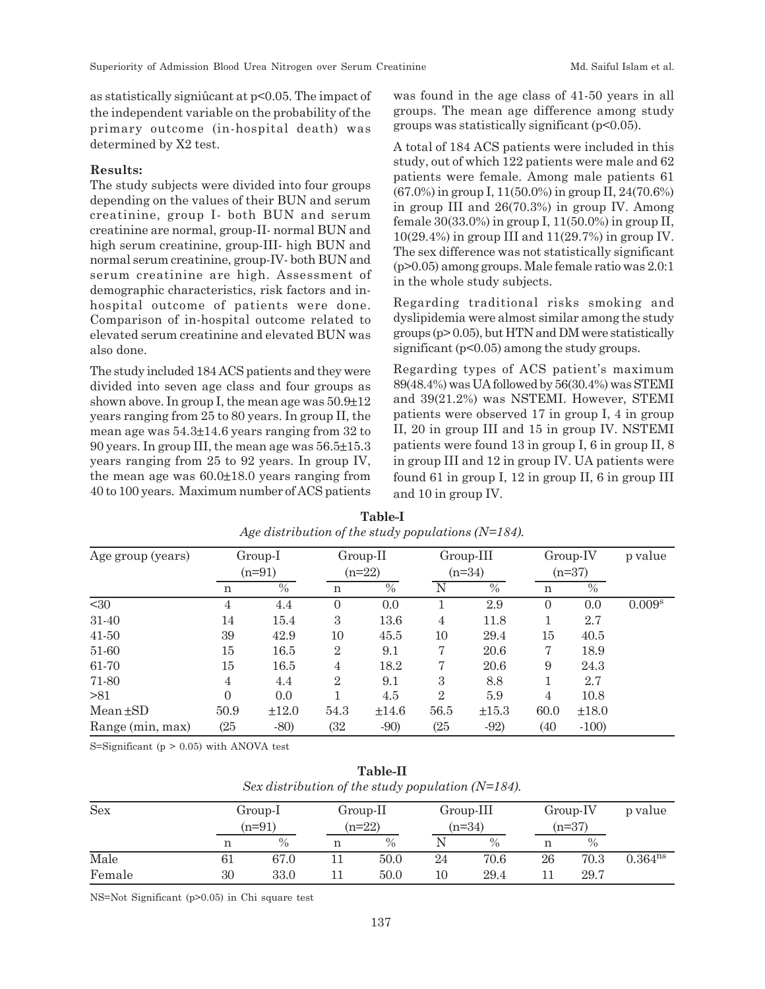as statistically signiûcant at p<0.05. The impact of the independent variable on the probability of the primary outcome (in-hospital death) was determined by X2 test.

#### **Results:**

The study subjects were divided into four groups depending on the values of their BUN and serum creatinine, group I- both BUN and serum creatinine are normal, group-II- normal BUN and high serum creatinine, group-III- high BUN and normal serum creatinine, group-IV- both BUN and serum creatinine are high. Assessment of demographic characteristics, risk factors and inhospital outcome of patients were done. Comparison of in-hospital outcome related to elevated serum creatinine and elevated BUN was also done.

The study included 184 ACS patients and they were divided into seven age class and four groups as shown above. In group I, the mean age was  $50.9\pm12$ years ranging from 25 to 80 years. In group II, the mean age was 54.3±14.6 years ranging from 32 to 90 years. In group III, the mean age was 56.5±15.3 years ranging from 25 to 92 years. In group IV, the mean age was 60.0±18.0 years ranging from 40 to 100 years. Maximum number of ACS patients was found in the age class of 41-50 years in all groups. The mean age difference among study groups was statistically significant (p<0.05).

A total of 184 ACS patients were included in this study, out of which 122 patients were male and 62 patients were female. Among male patients 61 (67.0%) in group I, 11(50.0%) in group II, 24(70.6%) in group III and 26(70.3%) in group IV. Among female 30(33.0%) in group I, 11(50.0%) in group II,  $10(29.4\%)$  in group III and  $11(29.7\%)$  in group IV. The sex difference was not statistically significant (p>0.05) among groups. Male female ratio was 2.0:1 in the whole study subjects.

Regarding traditional risks smoking and dyslipidemia were almost similar among the study groups (p> 0.05), but HTN and DM were statistically significant ( $p<0.05$ ) among the study groups.

Regarding types of ACS patient's maximum 89(48.4%) was UA followed by 56(30.4%) was STEMI and 39(21.2%) was NSTEMI. However, STEMI patients were observed 17 in group I, 4 in group II, 20 in group III and 15 in group IV. NSTEMI patients were found 13 in group I, 6 in group II, 8 in group III and 12 in group IV. UA patients were found 61 in group I, 12 in group II, 6 in group III and 10 in group IV.

| Age group (years) | Group-I<br>$(n=91)$ |       |                | $Group-II$<br>$(n=22)$ |                | Group-III<br>$(n=34)$ |          | Group-IV<br>$(n=37)$ |                    |
|-------------------|---------------------|-------|----------------|------------------------|----------------|-----------------------|----------|----------------------|--------------------|
|                   |                     |       |                |                        |                |                       |          |                      |                    |
|                   | n                   | $\%$  | n              | $\%$                   |                | $\%$                  | n        | $\frac{0}{0}$        |                    |
| $30$              | 4                   | 4.4   | $\Omega$       | 0.0                    |                | 2.9                   | $\theta$ | 0.0                  | 0.009 <sup>s</sup> |
| 31-40             | 14                  | 15.4  | 3              | 13.6                   | $\overline{4}$ | 11.8                  |          | 2.7                  |                    |
| 41-50             | 39                  | 42.9  | 10             | 45.5                   | 10             | 29.4                  | 15       | 40.5                 |                    |
| 51-60             | 15                  | 16.5  | $\overline{2}$ | 9.1                    | 7              | 20.6                  | 7        | 18.9                 |                    |
| 61-70             | 15                  | 16.5  | $\overline{4}$ | 18.2                   | 7              | 20.6                  | 9        | 24.3                 |                    |
| 71-80             | 4                   | 4.4   | $\overline{2}$ | 9.1                    | 3              | 8.8                   |          | 2.7                  |                    |
| >81               | $\Omega$            | 0.0   |                | 4.5                    | $\overline{2}$ | 5.9                   | 4        | 10.8                 |                    |
| $Mean \pm SD$     | 50.9                | ±12.0 | 54.3           | $\pm 14.6$             | 56.5           | $\pm 15.3$            | 60.0     | ±18.0                |                    |
| Range (min, max)  | (25)                | $-80$ | (32            | $-90)$                 | (25)           | $-92)$                | (40)     | $-100$               |                    |

**Table-I** *Age distribution of the study populations (N=184).*

S=Significant  $(p > 0.05)$  with ANOVA test

| Table-II                                              |
|-------------------------------------------------------|
| Sex distribution of the study population ( $N=184$ ). |

| <b>Sex</b> |        | Group-I  |  | $Group-II$ |    | Group-III |    | Group-IV | p value             |
|------------|--------|----------|--|------------|----|-----------|----|----------|---------------------|
|            |        | $(n=91)$ |  | $(n=22)$   |    | $(n=34)$  |    | $(n=37)$ |                     |
|            |        | $\%$     |  | $\%$       |    | $\%$      | n  | $\%$     |                     |
| Male       | $61\,$ | 67.0     |  | 50.0       | 24 | 70.6      | 26 | 70.3     | 0.364 <sup>ns</sup> |
| Female     | 30     | 33.0     |  | 50.0       | 10 | 29.4      |    | 29.7     |                     |

NS=Not Significant (p>0.05) in Chi square test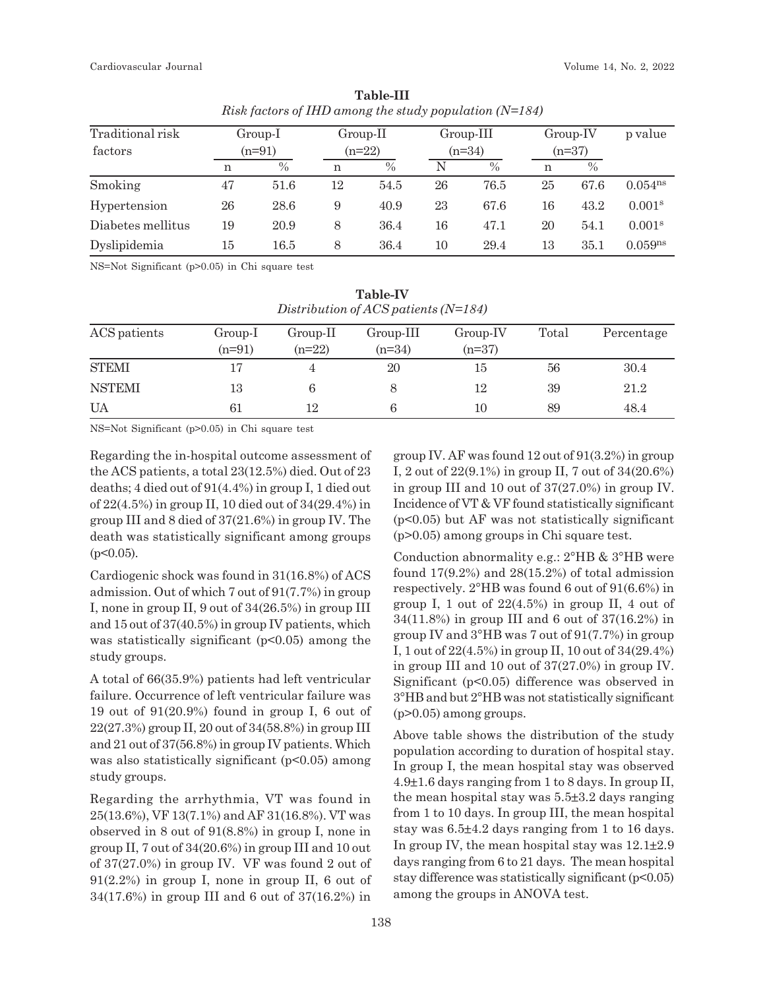| Traditional risk  |    | Group-I       |    | Group-II |    | Group-III     |    | Group-IV |                     |
|-------------------|----|---------------|----|----------|----|---------------|----|----------|---------------------|
| factors           |    | $(n=91)$      |    | $(n=22)$ |    | $(n=34)$      |    | $(n=37)$ |                     |
|                   | n  | $\frac{0}{0}$ | n  | $\%$     | N  | $\frac{0}{0}$ | n  | $\%$     |                     |
| Smoking           | 47 | 51.6          | 12 | 54.5     | 26 | 76.5          | 25 | 67.6     | $0.054^{ns}$        |
| Hypertension      | 26 | 28.6          | 9  | 40.9     | 23 | 67.6          | 16 | 43.2     | 0.001 <sup>s</sup>  |
| Diabetes mellitus | 19 | 20.9          | 8  | 36.4     | 16 | 47.1          | 20 | 54.1     | 0.001 <sup>s</sup>  |
| Dyslipidemia      | 15 | 16.5          | 8  | 36.4     | 10 | 29.4          | 13 | 35.1     | 0.059 <sup>ns</sup> |

**Table-III** *Risk factors of IHD among the study population (N=184)*

NS=Not Significant (p>0.05) in Chi square test

| Distribution of ACS patients $(N=184)$ |                     |                      |                     |                        |       |            |  |  |  |
|----------------------------------------|---------------------|----------------------|---------------------|------------------------|-------|------------|--|--|--|
| ACS patients                           | Group-I<br>$(n=91)$ | Group-II<br>$(n=22)$ | Group-III<br>(n=34) | $Group-IV$<br>$(n=37)$ | Total | Percentage |  |  |  |
| <b>STEMI</b>                           | 17                  |                      | 20                  | 15                     | 56    | 30.4       |  |  |  |
| <b>NSTEMI</b>                          | 13                  | 6                    | 8                   | 12                     | 39    | 21.2       |  |  |  |
| UA                                     | 61                  | 12                   |                     | 10                     | 89    | 48.4       |  |  |  |

**Table-IV**

NS=Not Significant (p>0.05) in Chi square test

Regarding the in-hospital outcome assessment of the ACS patients, a total 23(12.5%) died. Out of 23 deaths; 4 died out of 91(4.4%) in group I, 1 died out of 22(4.5%) in group II, 10 died out of 34(29.4%) in group III and 8 died of 37(21.6%) in group IV. The death was statistically significant among groups  $(p<0.05)$ .

Cardiogenic shock was found in 31(16.8%) of ACS admission. Out of which 7 out of 91(7.7%) in group I, none in group II, 9 out of 34(26.5%) in group III and 15 out of 37(40.5%) in group IV patients, which was statistically significant  $(p<0.05)$  among the study groups.

A total of 66(35.9%) patients had left ventricular failure. Occurrence of left ventricular failure was 19 out of 91(20.9%) found in group I, 6 out of 22(27.3%) group II, 20 out of 34(58.8%) in group III and 21 out of 37(56.8%) in group IV patients. Which was also statistically significant  $(p<0.05)$  among study groups.

Regarding the arrhythmia, VT was found in 25(13.6%), VF 13(7.1%) and AF 31(16.8%). VT was observed in 8 out of 91(8.8%) in group I, none in group II, 7 out of 34(20.6%) in group III and 10 out of 37(27.0%) in group IV. VF was found 2 out of 91(2.2%) in group I, none in group II, 6 out of 34(17.6%) in group III and 6 out of 37(16.2%) in group IV. AF was found 12 out of 91(3.2%) in group I, 2 out of 22(9.1%) in group II, 7 out of 34(20.6%) in group III and 10 out of 37(27.0%) in group IV. Incidence of VT & VF found statistically significant (p<0.05) but AF was not statistically significant (p>0.05) among groups in Chi square test.

Conduction abnormality e.g.: 2°HB & 3°HB were found  $17(9.2\%)$  and  $28(15.2\%)$  of total admission respectively. 2°HB was found 6 out of 91(6.6%) in group I, 1 out of  $22(4.5\%)$  in group II, 4 out of 34(11.8%) in group III and 6 out of 37(16.2%) in group IV and 3°HB was 7 out of 91(7.7%) in group I, 1 out of 22(4.5%) in group II, 10 out of 34(29.4%) in group III and 10 out of 37(27.0%) in group IV. Significant (p<0.05) difference was observed in 3°HB and but 2°HB was not statistically significant (p>0.05) among groups.

Above table shows the distribution of the study population according to duration of hospital stay. In group I, the mean hospital stay was observed 4.9±1.6 days ranging from 1 to 8 days. In group II, the mean hospital stay was 5.5±3.2 days ranging from 1 to 10 days. In group III, the mean hospital stay was 6.5±4.2 days ranging from 1 to 16 days. In group IV, the mean hospital stay was 12.1±2.9 days ranging from 6 to 21 days. The mean hospital stay difference was statistically significant  $(p<0.05)$ among the groups in ANOVA test.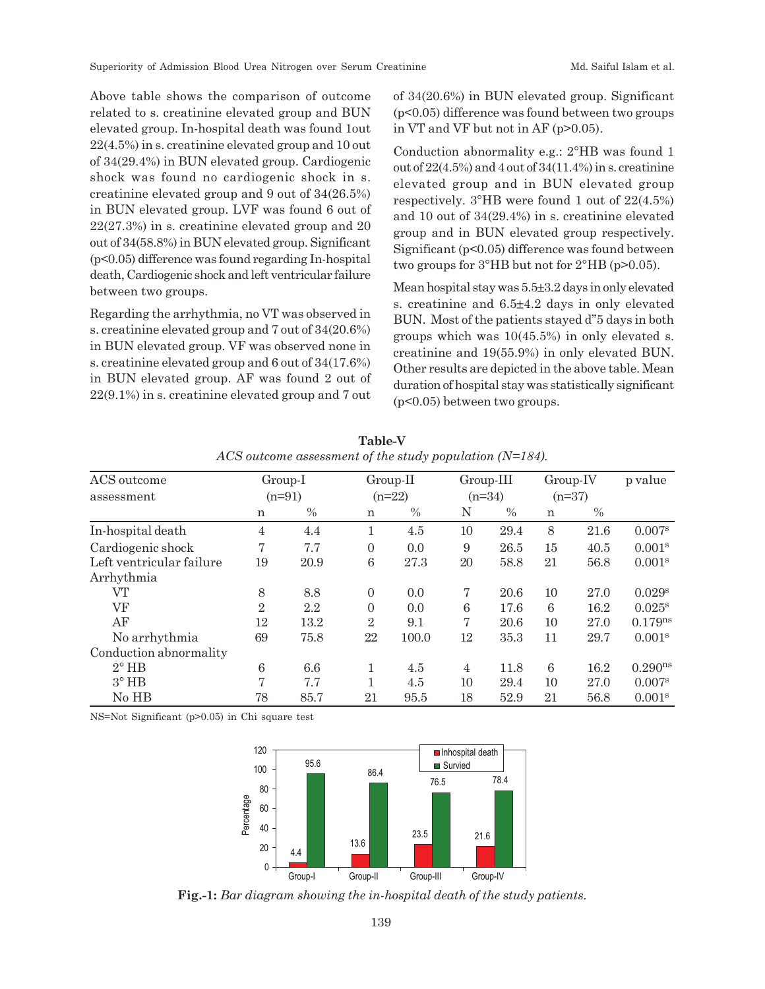Above table shows the comparison of outcome related to s. creatinine elevated group and BUN elevated group. In-hospital death was found 1out 22(4.5%) in s. creatinine elevated group and 10 out of 34(29.4%) in BUN elevated group. Cardiogenic shock was found no cardiogenic shock in s. creatinine elevated group and 9 out of 34(26.5%) in BUN elevated group. LVF was found 6 out of 22(27.3%) in s. creatinine elevated group and 20 out of 34(58.8%) in BUN elevated group. Significant (p<0.05) difference was found regarding In-hospital death, Cardiogenic shock and left ventricular failure between two groups.

Regarding the arrhythmia, no VT was observed in s. creatinine elevated group and 7 out of 34(20.6%) in BUN elevated group. VF was observed none in s. creatinine elevated group and 6 out of 34(17.6%) in BUN elevated group. AF was found 2 out of 22(9.1%) in s. creatinine elevated group and 7 out of 34(20.6%) in BUN elevated group. Significant (p<0.05) difference was found between two groups in VT and VF but not in AF (p>0.05).

Conduction abnormality e.g.: 2°HB was found 1 out of  $22(4.5\%)$  and 4 out of  $34(11.4\%)$  in s. creatinine elevated group and in BUN elevated group respectively. 3°HB were found 1 out of 22(4.5%) and 10 out of 34(29.4%) in s. creatinine elevated group and in BUN elevated group respectively. Significant (p<0.05) difference was found between two groups for 3°HB but not for 2°HB (p>0.05).

Mean hospital stay was 5.5±3.2 days in only elevated s. creatinine and 6.5±4.2 days in only elevated BUN. Most of the patients stayed d"5 days in both groups which was 10(45.5%) in only elevated s. creatinine and 19(55.9%) in only elevated BUN. Other results are depicted in the above table. Mean duration of hospital stay was statistically significant (p<0.05) between two groups.

| ACS outcome              | Group-I        |          |                | $Group-II$<br>$(n=22)$ |                | Group-III<br>$(n=34)$ |    | $Group-IV$ | p value              |
|--------------------------|----------------|----------|----------------|------------------------|----------------|-----------------------|----|------------|----------------------|
| assessment               |                | $(n=91)$ |                |                        |                |                       |    | $(n=37)$   |                      |
|                          | n              | $\%$     | n              | $\%$                   | N              | $\frac{0}{0}$         | n  | $\%$       |                      |
| In-hospital death        | 4              | 4.4      |                | 4.5                    | 10             | 29.4                  | 8  | 21.6       | 0.007 <sup>s</sup>   |
| Cardiogenic shock        | 7              | 7.7      | $\overline{0}$ | 0.0                    | 9              | 26.5                  | 15 | 40.5       | 0.001 <sup>s</sup>   |
| Left ventricular failure | 19             | 20.9     | 6              | 27.3                   | 20             | 58.8                  | 21 | 56.8       | 0.001 <sup>s</sup>   |
| Arrhythmia               |                |          |                |                        |                |                       |    |            |                      |
| VT                       | 8              | 8.8      | $\overline{0}$ | 0.0                    | 7              | 20.6                  | 10 | 27.0       | $0.029^{s}$          |
| VF                       | $\overline{2}$ | 2.2      | $\overline{0}$ | 0.0                    | 6              | 17.6                  | 6  | 16.2       | $0.025^{\rm s}$      |
| AF                       | 12             | 13.2     | $\overline{2}$ | 9.1                    | 7              | 20.6                  | 10 | 27.0       | $0.179^{ns}$         |
| No arrhythmia            | 69             | 75.8     | 22             | 100.0                  | 12             | 35.3                  | 11 | 29.7       | 0.001 <sup>s</sup>   |
| Conduction abnormality   |                |          |                |                        |                |                       |    |            |                      |
| $2^{\circ}$ HB           | 6              | 6.6      |                | 4.5                    | $\overline{4}$ | 11.8                  | 6  | 16.2       | 0.290 <sup>ns</sup>  |
| $3^\circ$ HB             | $\overline{7}$ | 7.7      |                | 4.5                    | 10             | 29.4                  | 10 | 27.0       | $0.007$ <sup>s</sup> |
| No HB                    | 78             | 85.7     | 21             | 95.5                   | 18             | 52.9                  | 21 | 56.8       | 0.001 <sup>s</sup>   |

**Table-V** *ACS outcome assessment of the study population (N=184).*

NS=Not Significant (p>0.05) in Chi square test



**Fig.-1:** *Bar diagram showing the in-hospital death of the study patients.*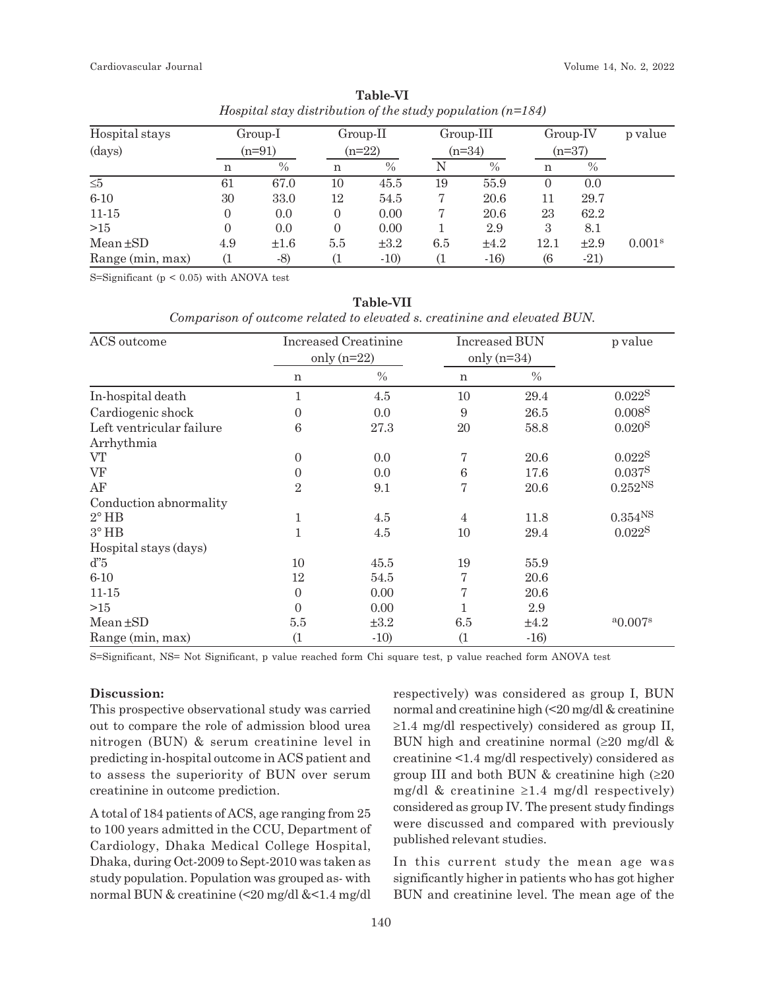| Hospital stays   |     | Group-I   |          | Group-II  |     | $Group-III$ |                  | $Group-IV$ | p value            |
|------------------|-----|-----------|----------|-----------|-----|-------------|------------------|------------|--------------------|
| (days)           |     | $(n=91)$  |          | $(n=22)$  |     | $(n=34)$    |                  | $(n=37)$   |                    |
|                  | n   | $\%$      | n        | $\%$      | N   | $\%$        | n                | $\%$       |                    |
| $\leq 5$         | 61  | 67.0      | 10       | 45.5      | 19  | 55.9        | $\left( \right)$ | 0.0        |                    |
| $6 - 10$         | 30  | 33.0      | 12       | 54.5      |     | 20.6        | 11               | 29.7       |                    |
| $11 - 15$        |     | 0.0       | $\Omega$ | 0.00      |     | 20.6        | 23               | 62.2       |                    |
| >15              |     | 0.0       | $\Omega$ | 0.00      |     | 2.9         | 3                | 8.1        |                    |
| $Mean \pm SD$    | 4.9 | $\pm 1.6$ | 5.5      | $\pm 3.2$ | 6.5 | $\pm 4.2$   | 12.1             | $\pm 2.9$  | 0.001 <sup>s</sup> |
| Range (min, max) |     | $-8)$     |          | $-10$     |     | $-16$       | $\sqrt{6}$       | $-21)$     |                    |

**Table-VI** *Hospital stay distribution of the study population (n=184)*

S=Significant ( $p < 0.05$ ) with ANOVA test

| <b>Table-VII</b> |
|------------------|
|                  |

*Comparison of outcome related to elevated s. creatinine and elevated BUN.*

| ACS outcome              |                | <b>Increased Creatinine</b> |                | <b>Increased BUN</b> | p value            |
|--------------------------|----------------|-----------------------------|----------------|----------------------|--------------------|
|                          |                | only $(n=22)$               |                | only $(n=34)$        |                    |
|                          | n              | $\frac{0}{0}$               | n              | $\%$                 |                    |
| In-hospital death        | $\mathbf{1}$   | 4.5                         | 10             | 29.4                 | 0.0228             |
| Cardiogenic shock        | $\theta$       | 0.0                         | 9              | 26.5                 | 0.008 <sup>S</sup> |
| Left ventricular failure | 6              | 27.3                        | $20\,$         | 58.8                 | 0.020 <sup>S</sup> |
| Arrhythmia               |                |                             |                |                      |                    |
| VT                       | $\theta$       | 0.0                         | 7              | 20.6                 | $0.022^{S}$        |
| VF                       | $\overline{0}$ | 0.0                         | $\,6$          | 17.6                 | $0.037^{S}$        |
| AF                       | $\overline{2}$ | 9.1                         | 7              | 20.6                 | $0.252^{NS}$       |
| Conduction abnormality   |                |                             |                |                      |                    |
| $2^{\circ}$ HB           | $\mathbf 1$    | 4.5                         | $\overline{4}$ | 11.8                 | $0.354^{NS}$       |
| $3^\circ$ HB             | $\mathbf{1}$   | 4.5                         | 10             | 29.4                 | $0.022^{S}$        |
| Hospital stays (days)    |                |                             |                |                      |                    |
| $d^{\prime}5$            | 10             | 45.5                        | 19             | 55.9                 |                    |
| $6 - 10$                 | 12             | 54.5                        | 7              | 20.6                 |                    |
| $11 - 15$                | $\Omega$       | 0.00                        | 7              | 20.6                 |                    |
| >15                      | $\theta$       | 0.00                        |                | 2.9                  |                    |
| $Mean \pm SD$            | 5.5            | $\pm 3.2$                   | 6.5            | ±4.2                 | $a_{0.007}$ s      |
| Range (min, max)         | (1)            | $-10$                       | (1)            | $-16$                |                    |

S=Significant, NS= Not Significant, p value reached form Chi square test, p value reached form ANOVA test

## **Discussion:**

This prospective observational study was carried out to compare the role of admission blood urea nitrogen (BUN) & serum creatinine level in predicting in-hospital outcome in ACS patient and to assess the superiority of BUN over serum creatinine in outcome prediction.

A total of 184 patients of ACS, age ranging from 25 to 100 years admitted in the CCU, Department of Cardiology, Dhaka Medical College Hospital, Dhaka, during Oct-2009 to Sept-2010 was taken as study population. Population was grouped as- with normal BUN & creatinine (<20 mg/dl &<1.4 mg/dl respectively) was considered as group I, BUN normal and creatinine high (<20 mg/dl & creatinine  $\geq$ 1.4 mg/dl respectively) considered as group II, BUN high and creatinine normal  $(\geq 20 \text{ mg/dl \&})$ creatinine <1.4 mg/dl respectively) considered as group III and both BUN  $&$  creatinine high ( $\geq 20$ mg/dl & creatinine  $\geq 1.4$  mg/dl respectively) considered as group IV. The present study findings were discussed and compared with previously published relevant studies.

In this current study the mean age was significantly higher in patients who has got higher BUN and creatinine level. The mean age of the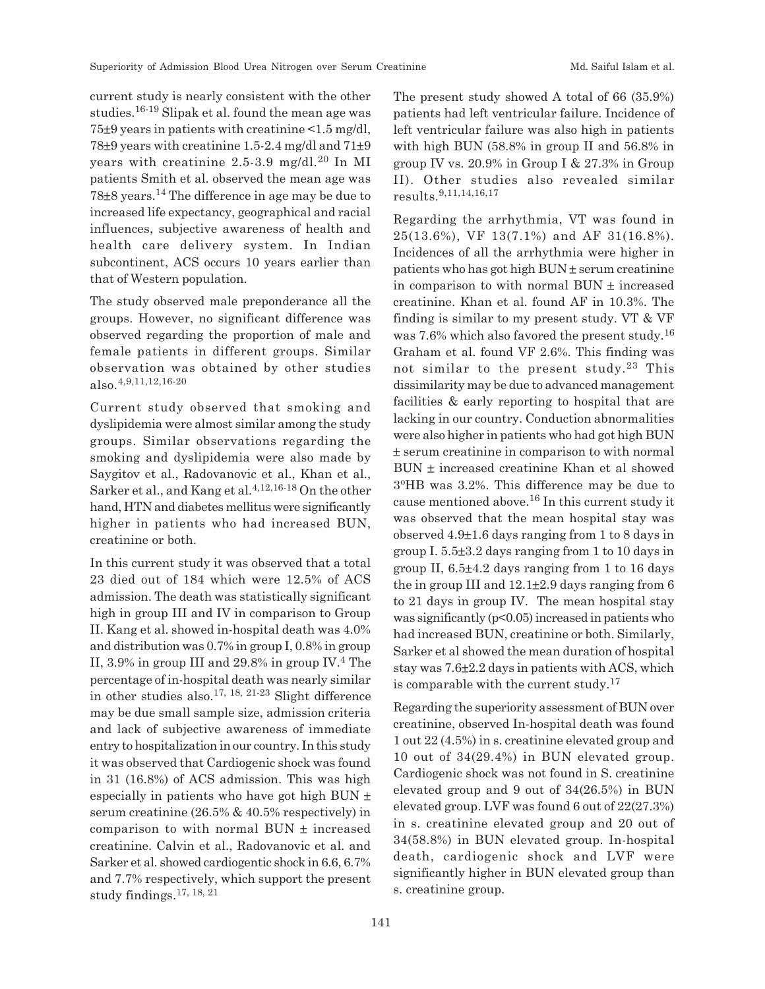current study is nearly consistent with the other studies.16-19 Slipak et al. found the mean age was 75±9 years in patients with creatinine <1.5 mg/dl, 78±9 years with creatinine 1.5-2.4 mg/dl and 71±9 years with creatinine  $2.5-3.9$  mg/dl.<sup>20</sup> In MI patients Smith et al. observed the mean age was 78±8 years.14 The difference in age may be due to increased life expectancy, geographical and racial influences, subjective awareness of health and health care delivery system. In Indian subcontinent, ACS occurs 10 years earlier than that of Western population.

The study observed male preponderance all the groups. However, no significant difference was observed regarding the proportion of male and female patients in different groups. Similar observation was obtained by other studies also.4,9,11,12,16-20

Current study observed that smoking and dyslipidemia were almost similar among the study groups. Similar observations regarding the smoking and dyslipidemia were also made by Saygitov et al., Radovanovic et al., Khan et al., Sarker et al., and Kang et al.  $4,12,16.18$  On the other hand, HTN and diabetes mellitus were significantly higher in patients who had increased BUN, creatinine or both.

In this current study it was observed that a total 23 died out of 184 which were 12.5% of ACS admission. The death was statistically significant high in group III and IV in comparison to Group II. Kang et al. showed in-hospital death was 4.0% and distribution was 0.7% in group I, 0.8% in group II, 3.9% in group III and 29.8% in group IV.<sup>4</sup> The percentage of in-hospital death was nearly similar in other studies also.<sup>17, 18, 21-23</sup> Slight difference may be due small sample size, admission criteria and lack of subjective awareness of immediate entry to hospitalization in our country. In this study it was observed that Cardiogenic shock was found in 31 (16.8%) of ACS admission. This was high especially in patients who have got high BUN  $\pm$ serum creatinine (26.5% & 40.5% respectively) in comparison to with normal  $BUN \pm increased$ creatinine. Calvin et al., Radovanovic et al. and Sarker et al. showed cardiogentic shock in 6.6, 6.7% and 7.7% respectively, which support the present study findings.<sup>17, 18, 21</sup>

The present study showed A total of 66 (35.9%) patients had left ventricular failure. Incidence of left ventricular failure was also high in patients with high BUN (58.8% in group II and 56.8% in group IV vs. 20.9% in Group I & 27.3% in Group II). Other studies also revealed similar results.9,11,14,16,17

Regarding the arrhythmia, VT was found in 25(13.6%), VF 13(7.1%) and AF 31(16.8%). Incidences of all the arrhythmia were higher in patients who has got high BUN ± serum creatinine in comparison to with normal  $BUN \pm increased$ creatinine. Khan et al. found AF in 10.3%. The finding is similar to my present study. VT & VF was 7.6% which also favored the present study.<sup>16</sup> Graham et al. found VF 2.6%. This finding was not similar to the present study.<sup>23</sup> This dissimilarity may be due to advanced management facilities & early reporting to hospital that are lacking in our country. Conduction abnormalities were also higher in patients who had got high BUN ± serum creatinine in comparison to with normal BUN ± increased creatinine Khan et al showed 3 <sup>o</sup>HB was 3.2%. This difference may be due to cause mentioned above.16 In this current study it was observed that the mean hospital stay was observed 4.9±1.6 days ranging from 1 to 8 days in group I. 5.5±3.2 days ranging from 1 to 10 days in group II, 6.5±4.2 days ranging from 1 to 16 days the in group III and  $12.1\pm2.9$  days ranging from 6 to 21 days in group IV. The mean hospital stay was significantly  $(p<0.05)$  increased in patients who had increased BUN, creatinine or both. Similarly, Sarker et al showed the mean duration of hospital stay was 7.6±2.2 days in patients with ACS, which is comparable with the current study.<sup>17</sup>

Regarding the superiority assessment of BUN over creatinine, observed In-hospital death was found 1 out 22 (4.5%) in s. creatinine elevated group and 10 out of 34(29.4%) in BUN elevated group. Cardiogenic shock was not found in S. creatinine elevated group and 9 out of 34(26.5%) in BUN elevated group. LVF was found 6 out of 22(27.3%) in s. creatinine elevated group and 20 out of 34(58.8%) in BUN elevated group. In-hospital death, cardiogenic shock and LVF were significantly higher in BUN elevated group than s. creatinine group.